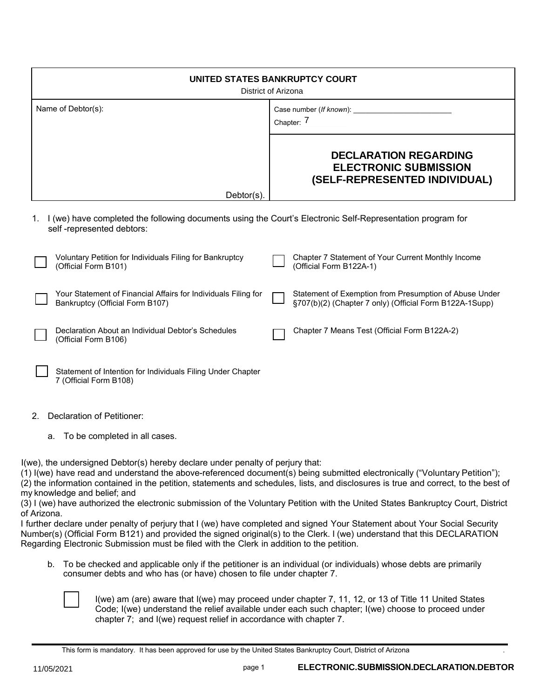| UNITED STATES BANKRUPTCY COURT<br>District of Arizona                                                                                         |                                                                                                                   |
|-----------------------------------------------------------------------------------------------------------------------------------------------|-------------------------------------------------------------------------------------------------------------------|
| Name of Debtor(s):                                                                                                                            | Case number (If known): ______________<br>Chapter: 7                                                              |
|                                                                                                                                               | <b>DECLARATION REGARDING</b><br><b>ELECTRONIC SUBMISSION</b><br>(SELF-REPRESENTED INDIVIDUAL)                     |
| $Dektor(s)$ .                                                                                                                                 |                                                                                                                   |
| I (we) have completed the following documents using the Court's Electronic Self-Representation program for<br>1.<br>self-represented debtors: |                                                                                                                   |
| Voluntary Petition for Individuals Filing for Bankruptcy<br>(Official Form B101)                                                              | Chapter 7 Statement of Your Current Monthly Income<br>(Official Form B122A-1)                                     |
| Your Statement of Financial Affairs for Individuals Filing for<br>Bankruptcy (Official Form B107)                                             | Statement of Exemption from Presumption of Abuse Under<br>§707(b)(2) (Chapter 7 only) (Official Form B122A-1Supp) |
| Declaration About an Individual Debtor's Schedules<br>(Official Form B106)                                                                    | Chapter 7 Means Test (Official Form B122A-2)                                                                      |

Statement of Intention for Individuals Filing Under Chapter 7 (Official Form B108)

- 2. Declaration of Petitioner:
	- a. To be completed in all cases.

I(we), the undersigned Debtor(s) hereby declare under penalty of perjury that:

(1) I(we) have read and understand the above-referenced document(s) being submitted electronically ("Voluntary Petition"); (2) the information contained in the petition, statements and schedules, lists, and disclosures is true and correct, to the best of my knowledge and belief; and

(3) I (we) have authorized the electronic submission of the Voluntary Petition with the United States Bankruptcy Court, District of Arizona.

I further declare under penalty of perjury that I (we) have completed and signed Your Statement about Your Social Security Number(s) (Official Form B121) and provided the signed original(s) to the Clerk. I (we) understand that this DECLARATION Regarding Electronic Submission must be filed with the Clerk in addition to the petition.

b. To be checked and applicable only if the petitioner is an individual (or individuals) whose debts are primarily consumer debts and who has (or have) chosen to file under chapter 7.



I(we) am (are) aware that I(we) may proceed under chapter 7, 11, 12, or 13 of Title 11 United States Code; I(we) understand the relief available under each such chapter; I(we) choose to proceed under chapter 7; and I(we) request relief in accordance with chapter 7.

This form is mandatory. It has been approved for use by the United States Bankruptcy Court, District of Arizona